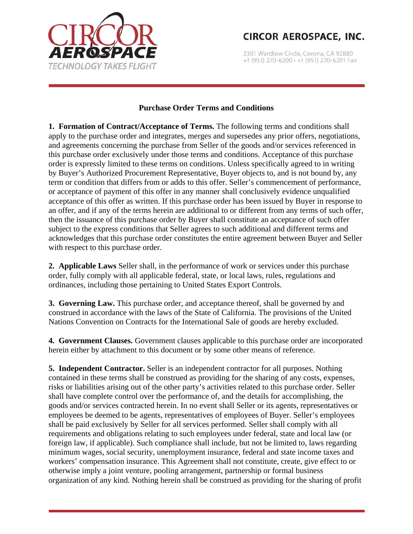

2301 Wardlow Circle, Corona, CA 92880 +1 (951) 270-6200 · +1 (951) 270-6201 Fax

#### **Purchase Order Terms and Conditions**

**1. Formation of Contract/Acceptance of Terms.** The following terms and conditions shall apply to the purchase order and integrates, merges and supersedes any prior offers, negotiations, and agreements concerning the purchase from Seller of the goods and/or services referenced in this purchase order exclusively under those terms and conditions. Acceptance of this purchase order is expressly limited to these terms on conditions. Unless specifically agreed to in writing by Buyer's Authorized Procurement Representative, Buyer objects to, and is not bound by, any term or condition that differs from or adds to this offer. Seller's commencement of performance, or acceptance of payment of this offer in any manner shall conclusively evidence unqualified acceptance of this offer as written. If this purchase order has been issued by Buyer in response to an offer, and if any of the terms herein are additional to or different from any terms of such offer, then the issuance of this purchase order by Buyer shall constitute an acceptance of such offer subject to the express conditions that Seller agrees to such additional and different terms and acknowledges that this purchase order constitutes the entire agreement between Buyer and Seller with respect to this purchase order.

**2. Applicable Laws** Seller shall, in the performance of work or services under this purchase order, fully comply with all applicable federal, state, or local laws, rules, regulations and ordinances, including those pertaining to United States Export Controls.

**3. Governing Law.** This purchase order, and acceptance thereof, shall be governed by and construed in accordance with the laws of the State of California. The provisions of the United Nations Convention on Contracts for the International Sale of goods are hereby excluded.

**4. Government Clauses.** Government clauses applicable to this purchase order are incorporated herein either by attachment to this document or by some other means of reference.

**5. Independent Contractor.** Seller is an independent contractor for all purposes. Nothing contained in these terms shall be construed as providing for the sharing of any costs, expenses, risks or liabilities arising out of the other party's activities related to this purchase order. Seller shall have complete control over the performance of, and the details for accomplishing, the goods and/or services contracted herein. In no event shall Seller or its agents, representatives or employees be deemed to be agents, representatives of employees of Buyer. Seller's employees shall be paid exclusively by Seller for all services performed. Seller shall comply with all requirements and obligations relating to such employees under federal, state and local law (or foreign law, if applicable). Such compliance shall include, but not be limited to, laws regarding minimum wages, social security, unemployment insurance, federal and state income taxes and workers' compensation insurance. This Agreement shall not constitute, create, give effect to or otherwise imply a joint venture, pooling arrangement, partnership or formal business organization of any kind. Nothing herein shall be construed as providing for the sharing of profit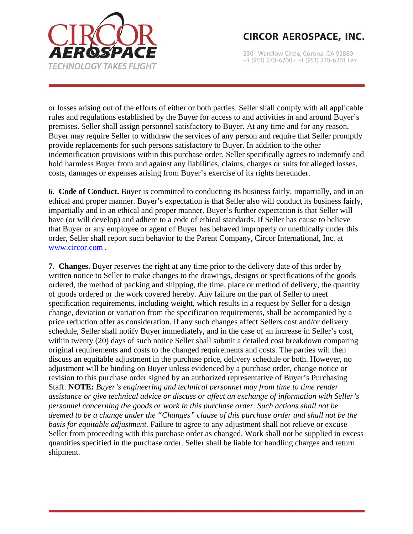

2301 Wardlow Circle, Corona, CA 92880 +1 (951) 270-6200 · +1 (951) 270-6201 Fax

or losses arising out of the efforts of either or both parties. Seller shall comply with all applicable rules and regulations established by the Buyer for access to and activities in and around Buyer's premises. Seller shall assign personnel satisfactory to Buyer. At any time and for any reason, Buyer may require Seller to withdraw the services of any person and require that Seller promptly provide replacements for such persons satisfactory to Buyer. In addition to the other indemnification provisions within this purchase order, Seller specifically agrees to indemnify and hold harmless Buyer from and against any liabilities, claims, charges or suits for alleged losses, costs, damages or expenses arising from Buyer's exercise of its rights hereunder.

**6. Code of Conduct.** Buyer is committed to conducting its business fairly, impartially, and in an ethical and proper manner. Buyer's expectation is that Seller also will conduct its business fairly, impartially and in an ethical and proper manner. Buyer's further expectation is that Seller will have (or will develop) and adhere to a code of ethical standards. If Seller has cause to believe that Buyer or any employee or agent of Buyer has behaved improperly or unethically under this order, Seller shall report such behavior to the Parent Company, Circor International, Inc. at www.circor.com .

**7. Changes.** Buyer reserves the right at any time prior to the delivery date of this order by written notice to Seller to make changes to the drawings, designs or specifications of the goods ordered, the method of packing and shipping, the time, place or method of delivery, the quantity of goods ordered or the work covered hereby. Any failure on the part of Seller to meet specification requirements, including weight, which results in a request by Seller for a design change, deviation or variation from the specification requirements, shall be accompanied by a price reduction offer as consideration. If any such changes affect Sellers cost and/or delivery schedule, Seller shall notify Buyer immediately, and in the case of an increase in Seller's cost, within twenty (20) days of such notice Seller shall submit a detailed cost breakdown comparing original requirements and costs to the changed requirements and costs. The parties will then discuss an equitable adjustment in the purchase price, delivery schedule or both. However, no adjustment will be binding on Buyer unless evidenced by a purchase order, change notice or revision to this purchase order signed by an authorized representative of Buyer's Purchasing Staff. **NOTE:** *Buyer's engineering and technical personnel may from time to time render assistance or give technical advice or discuss or affect an exchange of information with Seller's personnel concerning the goods or work in this purchase order. Such actions shall not be deemed to be a change under the "Changes" clause of this purchase order and shall not be the basis for equitable adjustment.* Failure to agree to any adjustment shall not relieve or excuse Seller from proceeding with this purchase order as changed. Work shall not be supplied in excess quantities specified in the purchase order. Seller shall be liable for handling charges and return shipment.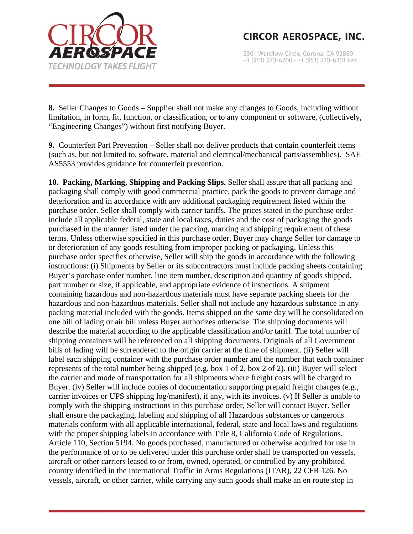

2301 Wardlow Circle, Corona, CA 92880 +1 (951) 270-6200 · +1 (951) 270-6201 Fax

**8.** Seller Changes to Goods – Supplier shall not make any changes to Goods, including without limitation, in form, fit, function, or classification, or to any component or software, (collectively, "Engineering Changes") without first notifying Buyer.

**9.** Counterfeit Part Prevention – Seller shall not deliver products that contain counterfeit items (such as, but not limited to, software, material and electrical/mechanical parts/assemblies). SAE AS5553 provides guidance for counterfeit prevention.

**10. Packing, Marking, Shipping and Packing Slips.** Seller shall assure that all packing and packaging shall comply with good commercial practice, pack the goods to prevent damage and deterioration and in accordance with any additional packaging requirement listed within the purchase order. Seller shall comply with carrier tariffs. The prices stated in the purchase order include all applicable federal, state and local taxes, duties and the cost of packaging the goods purchased in the manner listed under the packing, marking and shipping requirement of these terms. Unless otherwise specified in this purchase order, Buyer may charge Seller for damage to or deterioration of any goods resulting from improper packing or packaging. Unless this purchase order specifies otherwise, Seller will ship the goods in accordance with the following instructions: (i) Shipments by Seller or its subcontractors must include packing sheets containing Buyer's purchase order number, line item number, description and quantity of goods shipped, part number or size, if applicable, and appropriate evidence of inspections. A shipment containing hazardous and non-hazardous materials must have separate packing sheets for the hazardous and non-hazardous materials. Seller shall not include any hazardous substance in any packing material included with the goods. Items shipped on the same day will be consolidated on one bill of lading or air bill unless Buyer authorizes otherwise. The shipping documents will describe the material according to the applicable classification and/or tariff. The total number of shipping containers will be referenced on all shipping documents. Originals of all Government bills of lading will be surrendered to the origin carrier at the time of shipment. (ii) Seller will label each shipping container with the purchase order number and the number that each container represents of the total number being shipped (e.g. box 1 of 2, box 2 of 2). (iii) Buyer will select the carrier and mode of transportation for all shipments where freight costs will be charged to Buyer. (iv) Seller will include copies of documentation supporting prepaid freight charges (e.g., carrier invoices or UPS shipping log/manifest), if any, with its invoices. (v) If Seller is unable to comply with the shipping instructions in this purchase order, Seller will contact Buyer. Seller shall ensure the packaging, labeling and shipping of all Hazardous substances or dangerous materials conform with all applicable international, federal, state and local laws and regulations with the proper shipping labels in accordance with Title 8, California Code of Regulations, Article 110, Section 5194. No goods purchased, manufactured or otherwise acquired for use in the performance of or to be delivered under this purchase order shall be transported on vessels, aircraft or other carriers leased to or from, owned, operated, or controlled by any prohibited country identified in the International Traffic in Arms Regulations (ITAR), 22 CFR 126. No vessels, aircraft, or other carrier, while carrying any such goods shall make an en route stop in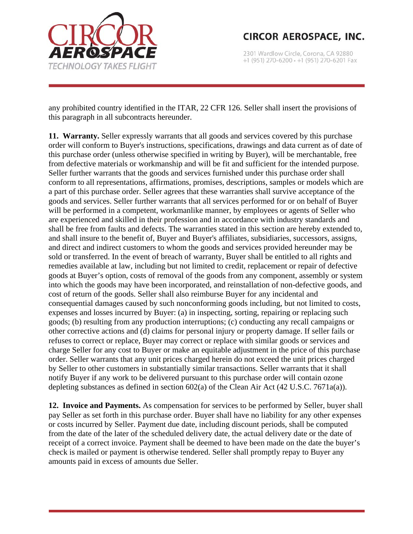

2301 Wardlow Circle, Corona, CA 92880 +1 (951) 270-6200 · +1 (951) 270-6201 Fax

any prohibited country identified in the ITAR, 22 CFR 126. Seller shall insert the provisions of this paragraph in all subcontracts hereunder.

**11. Warranty.** Seller expressly warrants that all goods and services covered by this purchase order will conform to Buyer's instructions, specifications, drawings and data current as of date of this purchase order (unless otherwise specified in writing by Buyer), will be merchantable, free from defective materials or workmanship and will be fit and sufficient for the intended purpose. Seller further warrants that the goods and services furnished under this purchase order shall conform to all representations, affirmations, promises, descriptions, samples or models which are a part of this purchase order. Seller agrees that these warranties shall survive acceptance of the goods and services. Seller further warrants that all services performed for or on behalf of Buyer will be performed in a competent, workmanlike manner, by employees or agents of Seller who are experienced and skilled in their profession and in accordance with industry standards and shall be free from faults and defects. The warranties stated in this section are hereby extended to, and shall insure to the benefit of, Buyer and Buyer's affiliates, subsidiaries, successors, assigns, and direct and indirect customers to whom the goods and services provided hereunder may be sold or transferred. In the event of breach of warranty, Buyer shall be entitled to all rights and remedies available at law, including but not limited to credit, replacement or repair of defective goods at Buyer's option, costs of removal of the goods from any component, assembly or system into which the goods may have been incorporated, and reinstallation of non-defective goods, and cost of return of the goods. Seller shall also reimburse Buyer for any incidental and consequential damages caused by such nonconforming goods including, but not limited to costs, expenses and losses incurred by Buyer: (a) in inspecting, sorting, repairing or replacing such goods; (b) resulting from any production interruptions; (c) conducting any recall campaigns or other corrective actions and (d) claims for personal injury or property damage. If seller fails or refuses to correct or replace, Buyer may correct or replace with similar goods or services and charge Seller for any cost to Buyer or make an equitable adjustment in the price of this purchase order. Seller warrants that any unit prices charged herein do not exceed the unit prices charged by Seller to other customers in substantially similar transactions. Seller warrants that it shall notify Buyer if any work to be delivered pursuant to this purchase order will contain ozone depleting substances as defined in section 602(a) of the Clean Air Act (42 U.S.C. 7671a(a)).

**12. Invoice and Payments.** As compensation for services to be performed by Seller, buyer shall pay Seller as set forth in this purchase order. Buyer shall have no liability for any other expenses or costs incurred by Seller. Payment due date, including discount periods, shall be computed from the date of the later of the scheduled delivery date, the actual delivery date or the date of receipt of a correct invoice. Payment shall be deemed to have been made on the date the buyer's check is mailed or payment is otherwise tendered. Seller shall promptly repay to Buyer any amounts paid in excess of amounts due Seller.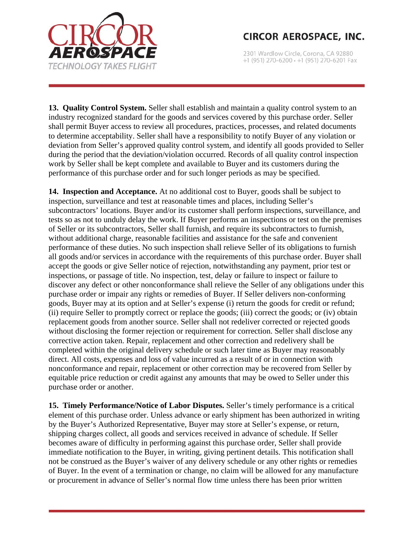

2301 Wardlow Circle, Corona, CA 92880 +1 (951) 270-6200 · +1 (951) 270-6201 Fax

**13. Quality Control System.** Seller shall establish and maintain a quality control system to an industry recognized standard for the goods and services covered by this purchase order. Seller shall permit Buyer access to review all procedures, practices, processes, and related documents to determine acceptability. Seller shall have a responsibility to notify Buyer of any violation or deviation from Seller's approved quality control system, and identify all goods provided to Seller during the period that the deviation/violation occurred. Records of all quality control inspection work by Seller shall be kept complete and available to Buyer and its customers during the performance of this purchase order and for such longer periods as may be specified.

**14. Inspection and Acceptance.** At no additional cost to Buyer, goods shall be subject to inspection, surveillance and test at reasonable times and places, including Seller's subcontractors' locations. Buyer and/or its customer shall perform inspections, surveillance, and tests so as not to unduly delay the work. If Buyer performs an inspections or test on the premises of Seller or its subcontractors, Seller shall furnish, and require its subcontractors to furnish, without additional charge, reasonable facilities and assistance for the safe and convenient performance of these duties. No such inspection shall relieve Seller of its obligations to furnish all goods and/or services in accordance with the requirements of this purchase order. Buyer shall accept the goods or give Seller notice of rejection, notwithstanding any payment, prior test or inspections, or passage of title. No inspection, test, delay or failure to inspect or failure to discover any defect or other nonconformance shall relieve the Seller of any obligations under this purchase order or impair any rights or remedies of Buyer. If Seller delivers non-conforming goods, Buyer may at its option and at Seller's expense (i) return the goods for credit or refund; (ii) require Seller to promptly correct or replace the goods; (iii) correct the goods; or (iv) obtain replacement goods from another source. Seller shall not redeliver corrected or rejected goods without disclosing the former rejection or requirement for correction. Seller shall disclose any corrective action taken. Repair, replacement and other correction and redelivery shall be completed within the original delivery schedule or such later time as Buyer may reasonably direct. All costs, expenses and loss of value incurred as a result of or in connection with nonconformance and repair, replacement or other correction may be recovered from Seller by equitable price reduction or credit against any amounts that may be owed to Seller under this purchase order or another.

**15. Timely Performance/Notice of Labor Disputes.** Seller's timely performance is a critical element of this purchase order. Unless advance or early shipment has been authorized in writing by the Buyer's Authorized Representative, Buyer may store at Seller's expense, or return, shipping charges collect, all goods and services received in advance of schedule. If Seller becomes aware of difficulty in performing against this purchase order, Seller shall provide immediate notification to the Buyer, in writing, giving pertinent details. This notification shall not be construed as the Buyer's waiver of any delivery schedule or any other rights or remedies of Buyer. In the event of a termination or change, no claim will be allowed for any manufacture or procurement in advance of Seller's normal flow time unless there has been prior written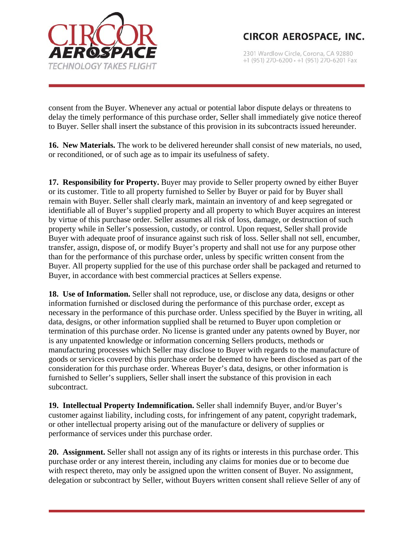

2301 Wardlow Circle, Corona, CA 92880 +1 (951) 270-6200 · +1 (951) 270-6201 Fax

consent from the Buyer. Whenever any actual or potential labor dispute delays or threatens to delay the timely performance of this purchase order, Seller shall immediately give notice thereof to Buyer. Seller shall insert the substance of this provision in its subcontracts issued hereunder.

**16. New Materials.** The work to be delivered hereunder shall consist of new materials, no used, or reconditioned, or of such age as to impair its usefulness of safety.

**17. Responsibility for Property.** Buyer may provide to Seller property owned by either Buyer or its customer. Title to all property furnished to Seller by Buyer or paid for by Buyer shall remain with Buyer. Seller shall clearly mark, maintain an inventory of and keep segregated or identifiable all of Buyer's supplied property and all property to which Buyer acquires an interest by virtue of this purchase order. Seller assumes all risk of loss, damage, or destruction of such property while in Seller's possession, custody, or control. Upon request, Seller shall provide Buyer with adequate proof of insurance against such risk of loss. Seller shall not sell, encumber, transfer, assign, dispose of, or modify Buyer's property and shall not use for any purpose other than for the performance of this purchase order, unless by specific written consent from the Buyer. All property supplied for the use of this purchase order shall be packaged and returned to Buyer, in accordance with best commercial practices at Sellers expense.

**18. Use of Information.** Seller shall not reproduce, use, or disclose any data, designs or other information furnished or disclosed during the performance of this purchase order, except as necessary in the performance of this purchase order. Unless specified by the Buyer in writing, all data, designs, or other information supplied shall be returned to Buyer upon completion or termination of this purchase order. No license is granted under any patents owned by Buyer, nor is any unpatented knowledge or information concerning Sellers products, methods or manufacturing processes which Seller may disclose to Buyer with regards to the manufacture of goods or services covered by this purchase order be deemed to have been disclosed as part of the consideration for this purchase order. Whereas Buyer's data, designs, or other information is furnished to Seller's suppliers, Seller shall insert the substance of this provision in each subcontract.

**19. Intellectual Property Indemnification.** Seller shall indemnify Buyer, and/or Buyer's customer against liability, including costs, for infringement of any patent, copyright trademark, or other intellectual property arising out of the manufacture or delivery of supplies or performance of services under this purchase order.

**20. Assignment.** Seller shall not assign any of its rights or interests in this purchase order. This purchase order or any interest therein, including any claims for monies due or to become due with respect thereto, may only be assigned upon the written consent of Buyer. No assignment, delegation or subcontract by Seller, without Buyers written consent shall relieve Seller of any of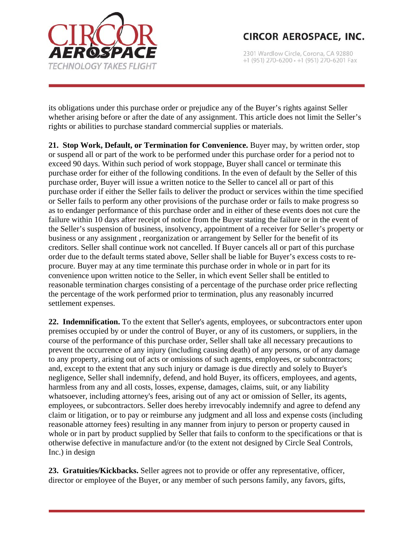

2301 Wardlow Circle, Corona, CA 92880 +1 (951) 270-6200 · +1 (951) 270-6201 Fax

its obligations under this purchase order or prejudice any of the Buyer's rights against Seller whether arising before or after the date of any assignment. This article does not limit the Seller's rights or abilities to purchase standard commercial supplies or materials.

**21. Stop Work, Default, or Termination for Convenience.** Buyer may, by written order, stop or suspend all or part of the work to be performed under this purchase order for a period not to exceed 90 days. Within such period of work stoppage, Buyer shall cancel or terminate this purchase order for either of the following conditions. In the even of default by the Seller of this purchase order, Buyer will issue a written notice to the Seller to cancel all or part of this purchase order if either the Seller fails to deliver the product or services within the time specified or Seller fails to perform any other provisions of the purchase order or fails to make progress so as to endanger performance of this purchase order and in either of these events does not cure the failure within 10 days after receipt of notice from the Buyer stating the failure or in the event of the Seller's suspension of business, insolvency, appointment of a receiver for Seller's property or business or any assignment , reorganization or arrangement by Seller for the benefit of its creditors. Seller shall continue work not cancelled. If Buyer cancels all or part of this purchase order due to the default terms stated above, Seller shall be liable for Buyer's excess costs to reprocure. Buyer may at any time terminate this purchase order in whole or in part for its convenience upon written notice to the Seller, in which event Seller shall be entitled to reasonable termination charges consisting of a percentage of the purchase order price reflecting the percentage of the work performed prior to termination, plus any reasonably incurred settlement expenses.

**22. Indemnification.** To the extent that Seller's agents, employees, or subcontractors enter upon premises occupied by or under the control of Buyer, or any of its customers, or suppliers, in the course of the performance of this purchase order, Seller shall take all necessary precautions to prevent the occurrence of any injury (including causing death) of any persons, or of any damage to any property, arising out of acts or omissions of such agents, employees, or subcontractors; and, except to the extent that any such injury or damage is due directly and solely to Buyer's negligence, Seller shall indemnify, defend, and hold Buyer, its officers, employees, and agents, harmless from any and all costs, losses, expense, damages, claims, suit, or any liability whatsoever, including attorney's fees, arising out of any act or omission of Seller, its agents, employees, or subcontractors. Seller does hereby irrevocably indemnify and agree to defend any claim or litigation, or to pay or reimburse any judgment and all loss and expense costs (including reasonable attorney fees) resulting in any manner from injury to person or property caused in whole or in part by product supplied by Seller that fails to conform to the specifications or that is otherwise defective in manufacture and/or (to the extent not designed by Circle Seal Controls, Inc.) in design

**23. Gratuities/Kickbacks.** Seller agrees not to provide or offer any representative, officer, director or employee of the Buyer, or any member of such persons family, any favors, gifts,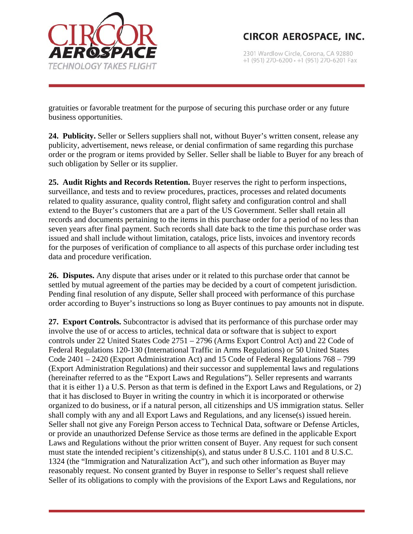

2301 Wardlow Circle, Corona, CA 92880 +1 (951) 270-6200 · +1 (951) 270-6201 Fax

gratuities or favorable treatment for the purpose of securing this purchase order or any future business opportunities.

**24. Publicity.** Seller or Sellers suppliers shall not, without Buyer's written consent, release any publicity, advertisement, news release, or denial confirmation of same regarding this purchase order or the program or items provided by Seller. Seller shall be liable to Buyer for any breach of such obligation by Seller or its supplier.

**25. Audit Rights and Records Retention.** Buyer reserves the right to perform inspections, surveillance, and tests and to review procedures, practices, processes and related documents related to quality assurance, quality control, flight safety and configuration control and shall extend to the Buyer's customers that are a part of the US Government. Seller shall retain all records and documents pertaining to the items in this purchase order for a period of no less than seven years after final payment. Such records shall date back to the time this purchase order was issued and shall include without limitation, catalogs, price lists, invoices and inventory records for the purposes of verification of compliance to all aspects of this purchase order including test data and procedure verification.

**26. Disputes.** Any dispute that arises under or it related to this purchase order that cannot be settled by mutual agreement of the parties may be decided by a court of competent jurisdiction. Pending final resolution of any dispute, Seller shall proceed with performance of this purchase order according to Buyer's instructions so long as Buyer continues to pay amounts not in dispute.

**27. Export Controls.** Subcontractor is advised that its performance of this purchase order may involve the use of or access to articles, technical data or software that is subject to export controls under 22 United States Code 2751 – 2796 (Arms Export Control Act) and 22 Code of Federal Regulations 120-130 (International Traffic in Arms Regulations) or 50 United States Code 2401 – 2420 (Export Administration Act) and 15 Code of Federal Regulations 768 – 799 (Export Administration Regulations) and their successor and supplemental laws and regulations (hereinafter referred to as the "Export Laws and Regulations"). Seller represents and warrants that it is either 1) a U.S. Person as that term is defined in the Export Laws and Regulations, or 2) that it has disclosed to Buyer in writing the country in which it is incorporated or otherwise organized to do business, or if a natural person, all citizenships and US immigration status. Seller shall comply with any and all Export Laws and Regulations, and any license(s) issued herein. Seller shall not give any Foreign Person access to Technical Data, software or Defense Articles, or provide an unauthorized Defense Service as those terms are defined in the applicable Export Laws and Regulations without the prior written consent of Buyer. Any request for such consent must state the intended recipient's citizenship(s), and status under 8 U.S.C. 1101 and 8 U.S.C. 1324 (the "Immigration and Naturalization Act"), and such other information as Buyer may reasonably request. No consent granted by Buyer in response to Seller's request shall relieve Seller of its obligations to comply with the provisions of the Export Laws and Regulations, nor